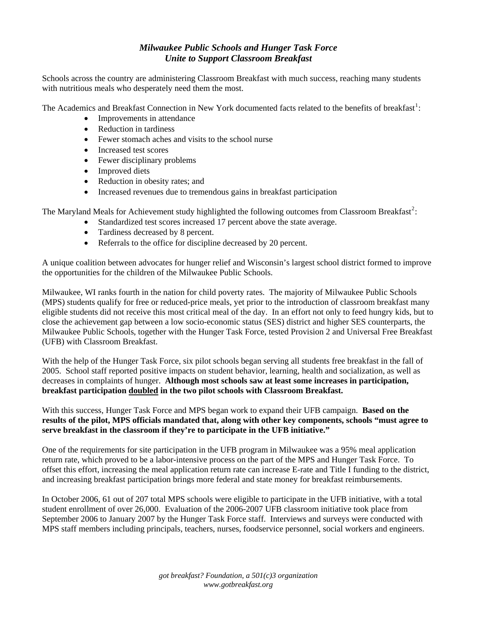## *Milwaukee Public Schools and Hunger Task Force Unite to Support Classroom Breakfast*

Schools across the country are administering Classroom Breakfast with much success, reaching many students with nutritious meals who desperately need them the most.

The Academics and Breakfast Connection in New York documented facts related to the benefits of breakfast<sup>[1](#page-1-0)</sup>:

- Improvements in attendance
- Reduction in tardiness
- Fewer stomach aches and visits to the school nurse
- Increased test scores
- Fewer disciplinary problems
- Improved diets
- Reduction in obesity rates; and
- Increased revenues due to tremendous gains in breakfast participation

The Maryland Meals for Achievement study highlighted the following outcomes from Classroom Breakfast<sup>[2](#page-1-1)</sup>:

- Standardized test scores increased 17 percent above the state average.
- Tardiness decreased by 8 percent.
- Referrals to the office for discipline decreased by 20 percent.

A unique coalition between advocates for hunger relief and Wisconsin's largest school district formed to improve the opportunities for the children of the Milwaukee Public Schools.

Milwaukee, WI ranks fourth in the nation for child poverty rates. The majority of Milwaukee Public Schools (MPS) students qualify for free or reduced-price meals, yet prior to the introduction of classroom breakfast many eligible students did not receive this most critical meal of the day. In an effort not only to feed hungry kids, but to close the achievement gap between a low socio-economic status (SES) district and higher SES counterparts, the Milwaukee Public Schools, together with the Hunger Task Force, tested Provision 2 and Universal Free Breakfast (UFB) with Classroom Breakfast.

With the help of the Hunger Task Force, six pilot schools began serving all students free breakfast in the fall of 2005. School staff reported positive impacts on student behavior, learning, health and socialization, as well as decreases in complaints of hunger. **Although most schools saw at least some increases in participation, breakfast participation doubled in the two pilot schools with Classroom Breakfast.** 

With this success, Hunger Task Force and MPS began work to expand their UFB campaign. **Based on the results of the pilot, MPS officials mandated that, along with other key components, schools "must agree to serve breakfast in the classroom if they're to participate in the UFB initiative."**

One of the requirements for site participation in the UFB program in Milwaukee was a 95% meal application return rate, which proved to be a labor-intensive process on the part of the MPS and Hunger Task Force. To offset this effort, increasing the meal application return rate can increase E-rate and Title I funding to the district, and increasing breakfast participation brings more federal and state money for breakfast reimbursements.

In October 2006, 61 out of 207 total MPS schools were eligible to participate in the UFB initiative, with a total student enrollment of over 26,000. Evaluation of the 2006-2007 UFB classroom initiative took place from September 2006 to January 2007 by the Hunger Task Force staff. Interviews and surveys were conducted with MPS staff members including principals, teachers, nurses, foodservice personnel, social workers and engineers.